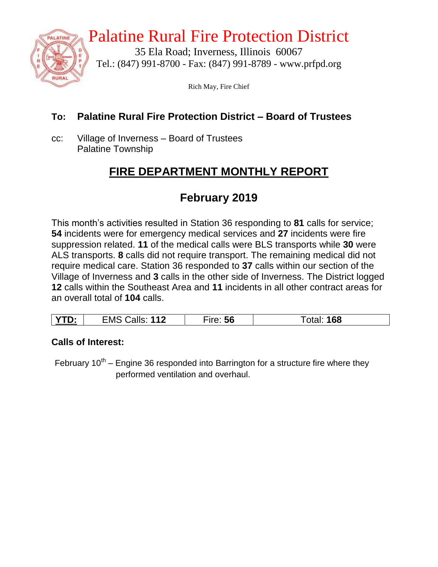

# Palatine Rural Fire Protection District

35 Ela Road; Inverness, Illinois 60067 Tel.: (847) 991-8700 - Fax: (847) 991-8789 - www.prfpd.org

Rich May, Fire Chief

### **To: Palatine Rural Fire Protection District – Board of Trustees**

cc: Village of Inverness – Board of Trustees Palatine Township

## **FIRE DEPARTMENT MONTHLY REPORT**

## **February 2019**

This month's activities resulted in Station 36 responding to **81** calls for service; **54** incidents were for emergency medical services and **27** incidents were fire suppression related. **11** of the medical calls were BLS transports while **30** were ALS transports. **8** calls did not require transport. The remaining medical did not require medical care. Station 36 responded to **37** calls within our section of the Village of Inverness and **3** calls in the other side of Inverness. The District logged **12** calls within the Southeast Area and **11** incidents in all other contract areas for an overall total of **104** calls.

|  | $\gamma$ TD.<br><u>.</u> | 112<br>EMS<br>شalls: | $rr\alpha$<br>56 | 168<br>Ulai. |
|--|--------------------------|----------------------|------------------|--------------|
|--|--------------------------|----------------------|------------------|--------------|

#### **Calls of Interest:**

February  $10^{th}$  – Engine 36 responded into Barrington for a structure fire where they performed ventilation and overhaul.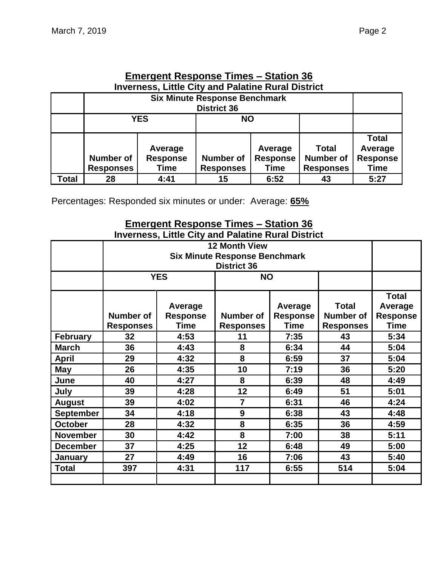| <b>Emergent Response Times – Station 36</b> |  |
|---------------------------------------------|--|

| <b>Inverness, Little City and Palatine Rural District</b> |                                                            |                 |                                     |             |                  |                 |  |  |
|-----------------------------------------------------------|------------------------------------------------------------|-----------------|-------------------------------------|-------------|------------------|-----------------|--|--|
|                                                           | <b>Six Minute Response Benchmark</b><br><b>District 36</b> |                 |                                     |             |                  |                 |  |  |
|                                                           |                                                            |                 |                                     |             |                  |                 |  |  |
|                                                           | <b>YES</b><br><b>NO</b>                                    |                 |                                     |             |                  |                 |  |  |
|                                                           |                                                            |                 |                                     |             |                  | <b>Total</b>    |  |  |
|                                                           |                                                            | Average         |                                     | Average     | <b>Total</b>     | Average         |  |  |
|                                                           | <b>Number of</b>                                           | <b>Response</b> | <b>Number of</b><br><b>Response</b> |             | <b>Number of</b> | <b>Response</b> |  |  |
|                                                           | <b>Responses</b>                                           | Time            | <b>Responses</b>                    | <b>Time</b> | <b>Responses</b> | <b>Time</b>     |  |  |
| Total                                                     | 28                                                         | 4:41            | 15                                  | 6:52        | 43               | 5:27            |  |  |

Percentages: Responded six minutes or under: Average: **65%**

#### **Emergent Response Times – Station 36 Inverness, Little City and Palatine Rural District**

| <b>12 Month View</b><br><b>Six Minute Response Benchmark</b> |                                               |                 |                  |             |                  |                 |  |  |
|--------------------------------------------------------------|-----------------------------------------------|-----------------|------------------|-------------|------------------|-----------------|--|--|
|                                                              | <b>District 36</b><br><b>YES</b><br><b>NO</b> |                 |                  |             |                  |                 |  |  |
|                                                              |                                               |                 |                  |             |                  |                 |  |  |
|                                                              |                                               |                 |                  |             |                  | <b>Total</b>    |  |  |
|                                                              |                                               | Average         |                  | Average     | <b>Total</b>     | Average         |  |  |
|                                                              | <b>Number of</b>                              | <b>Response</b> | <b>Number of</b> | Response    | <b>Number of</b> | <b>Response</b> |  |  |
|                                                              | <b>Responses</b>                              | <b>Time</b>     | <b>Responses</b> | <b>Time</b> | <b>Responses</b> | <b>Time</b>     |  |  |
| <b>February</b>                                              | 32                                            | 4:53            | 11               | 7:35        | 43               | 5:34            |  |  |
| <b>March</b>                                                 | 36                                            | 4:43            | 8                | 6:34        | 44               | 5:04            |  |  |
| <b>April</b>                                                 | 29                                            | 4:32            | 8                | 6:59        | 37               | 5:04            |  |  |
| May                                                          | 26                                            | 4:35            | 10               | 7:19        | 36               | 5:20            |  |  |
| June                                                         | 40                                            | 4:27            | 8                | 6:39        | 48               | 4:49            |  |  |
| July                                                         | 39                                            | 4:28            | 12               | 6:49        | 51               | 5:01            |  |  |
| <b>August</b>                                                | 39<br>4:02                                    |                 | $\overline{7}$   | 6:31        | 46               | 4:24            |  |  |
| <b>September</b>                                             | 34<br>4:18                                    |                 | 9                | 6:38        | 43               | 4:48            |  |  |
| <b>October</b>                                               | 28<br>4:32                                    |                 | 8                | 6:35        | 36               | 4:59            |  |  |
| <b>November</b>                                              | 30                                            | 4:42            | 8                | 7:00        | 38               | 5:11            |  |  |
| <b>December</b>                                              | 37                                            | 4:25            | 12               | 6:48        | 49               | 5:00            |  |  |
| January                                                      | 27                                            | 4:49            | 16               | 7:06        | 43               | 5:40            |  |  |
| <b>Total</b>                                                 | 397                                           | 4:31            | 117              | 6:55        | 514              | 5:04            |  |  |
|                                                              |                                               |                 |                  |             |                  |                 |  |  |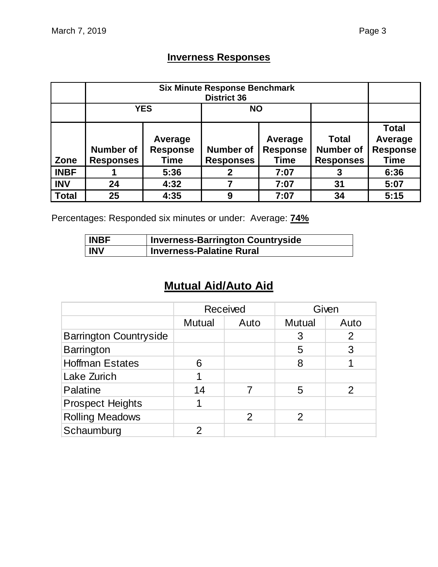### **Inverness Responses**

|              |                                      | <b>YES</b><br><b>NO</b>            |                                                                                   |      |                                                      |                                                           |  |
|--------------|--------------------------------------|------------------------------------|-----------------------------------------------------------------------------------|------|------------------------------------------------------|-----------------------------------------------------------|--|
| Zone         | <b>Number of</b><br><b>Responses</b> | Average<br><b>Response</b><br>Time | Average<br><b>Response</b><br><b>Number of</b><br><b>Responses</b><br><b>Time</b> |      | <b>Total</b><br><b>Number of</b><br><b>Responses</b> | <b>Total</b><br>Average<br><b>Response</b><br><b>Time</b> |  |
| <b>INBF</b>  |                                      | 5:36                               |                                                                                   | 7:07 |                                                      | 6:36                                                      |  |
| <b>INV</b>   | 24                                   | 4:32                               |                                                                                   | 7:07 | 31                                                   | 5:07                                                      |  |
| <b>Total</b> | 25                                   | 4:35                               | 9                                                                                 | 7:07 | 34                                                   | 5:15                                                      |  |

Percentages: Responded six minutes or under: Average: **74%**

| <b>INBF</b> | <b>Inverness-Barrington Countryside</b> |
|-------------|-----------------------------------------|
| <b>INV</b>  | <b>Inverness-Palatine Rural</b>         |

## **Mutual Aid/Auto Aid**

|                               | <b>Received</b> |      |               | Given |
|-------------------------------|-----------------|------|---------------|-------|
|                               | <b>Mutual</b>   | Auto | <b>Mutual</b> | Auto  |
| <b>Barrington Countryside</b> |                 |      | 3             | 2     |
| <b>Barrington</b>             |                 |      | 5             | 3     |
| <b>Hoffman Estates</b>        | 6               |      | 8             |       |
| Lake Zurich                   | 1               |      |               |       |
| Palatine                      | 14              |      | 5             |       |
| <b>Prospect Heights</b>       |                 |      |               |       |
| <b>Rolling Meadows</b>        |                 | 2    | 2             |       |
| Schaumburg                    |                 |      |               |       |